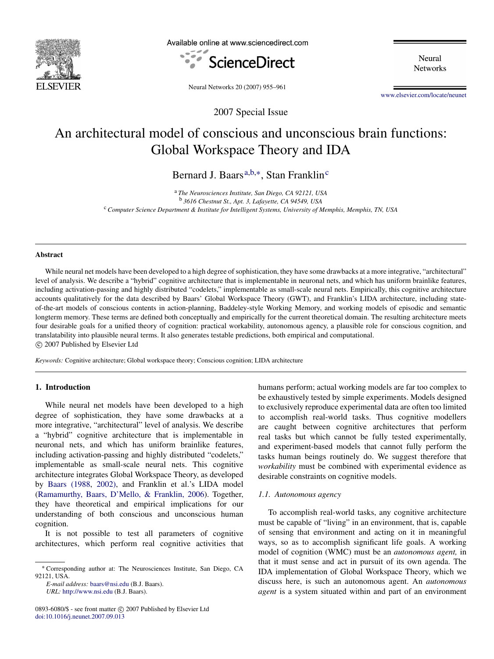

Available online at www.sciencedirect.com



Neural **Networks** 

Neural Networks 20 (2007) 955–961

[www.elsevier.com/locate/neunet](http://www.elsevier.com/locate/neunet)

## 2007 Special Issue

# An architectural model of conscious and unconscious brain functions: Global Workspace Theory and IDA

Bernard J. Baars<sup>[a,](#page-0-0)[b,](#page-0-1)\*</sup>, Stan Franklin<sup>[c](#page-0-3)</sup>

<span id="page-0-0"></span><sup>a</sup> *The Neurosciences Institute, San Diego, CA 92121, USA*

<span id="page-0-1"></span><sup>b</sup> *3616 Chestnut St., Apt. 3, Lafayette, CA 94549, USA*

<span id="page-0-3"></span><sup>c</sup> *Computer Science Department & Institute for Intelligent Systems, University of Memphis, Memphis, TN, USA*

#### Abstract

While neural net models have been developed to a high degree of sophistication, they have some drawbacks at a more integrative, "architectural" level of analysis. We describe a "hybrid" cognitive architecture that is implementable in neuronal nets, and which has uniform brainlike features, including activation-passing and highly distributed "codelets," implementable as small-scale neural nets. Empirically, this cognitive architecture accounts qualitatively for the data described by Baars' Global Workspace Theory (GWT), and Franklin's LIDA architecture, including stateof-the-art models of conscious contents in action-planning, Baddeley-style Working Memory, and working models of episodic and semantic longterm memory. These terms are defined both conceptually and empirically for the current theoretical domain. The resulting architecture meets four desirable goals for a unified theory of cognition: practical workability, autonomous agency, a plausible role for conscious cognition, and translatability into plausible neural terms. It also generates testable predictions, both empirical and computational. c 2007 Published by Elsevier Ltd

*Keywords:* Cognitive architecture; Global workspace theory; Conscious cognition; LIDA architecture

### 1. Introduction

While neural net models have been developed to a high degree of sophistication, they have some drawbacks at a more integrative, "architectural" level of analysis. We describe a "hybrid" cognitive architecture that is implementable in neuronal nets, and which has uniform brainlike features, including activation-passing and highly distributed "codelets," implementable as small-scale neural nets. This cognitive architecture integrates Global Workspace Theory, as developed by [Baars](#page-5-0) [\(1988](#page-5-0)[,](#page-5-1) [2002\),](#page-5-1) and Franklin et al.'s LIDA model [\(Ramamurthy,](#page-6-0) [Baars,](#page-6-0) [D'Mello,](#page-6-0) [&](#page-6-0) [Franklin,](#page-6-0) [2006\)](#page-6-0). Together, they have theoretical and empirical implications for our understanding of both conscious and unconscious human cognition.

It is not possible to test all parameters of cognitive architectures, which perform real cognitive activities that humans perform; actual working models are far too complex to be exhaustively tested by simple experiments. Models designed to exclusively reproduce experimental data are often too limited to accomplish real-world tasks. Thus cognitive modellers are caught between cognitive architectures that perform real tasks but which cannot be fully tested experimentally, and experiment-based models that cannot fully perform the tasks human beings routinely do. We suggest therefore that *workability* must be combined with experimental evidence as desirable constraints on cognitive models.

#### *1.1. Autonomous agency*

To accomplish real-world tasks, any cognitive architecture must be capable of "living" in an environment, that is, capable of sensing that environment and acting on it in meaningful ways, so as to accomplish significant life goals. A working model of cognition (WMC) must be an *autonomous agent,* in that it must sense and act in pursuit of its own agenda. The IDA implementation of Global Workspace Theory, which we discuss here, is such an autonomous agent. An *autonomous agent* is a system situated within and part of an environment

<span id="page-0-2"></span><sup>∗</sup> Corresponding author at: The Neurosciences Institute, San Diego, CA 92121, USA.

*E-mail address:* [baars@nsi.edu](mailto:baars@nsi.edu) (B.J. Baars). *URL:* <http://www.nsi.edu> (B.J. Baars).

<sup>0893-6080/\$ -</sup> see front matter © 2007 Published by Elsevier Ltd [doi:10.1016/j.neunet.2007.09.013](http://dx.doi.org/10.1016/j.neunet.2007.09.013)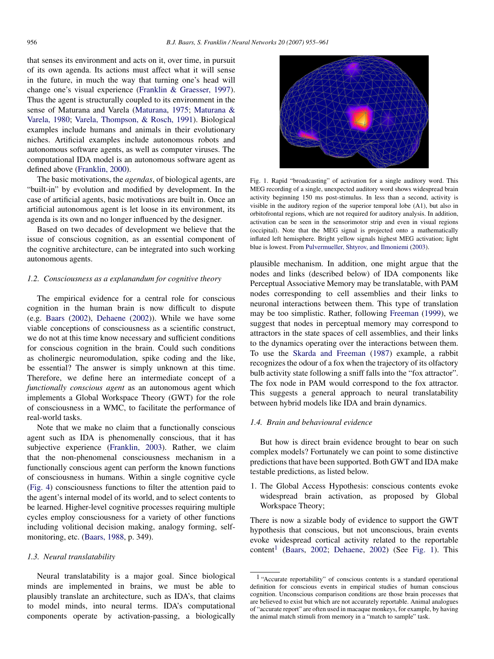that senses its environment and acts on it, over time, in pursuit of its own agenda. Its actions must affect what it will sense in the future, in much the way that turning one's head will change one's visual experience [\(Franklin](#page-6-1) [&](#page-6-1) [Graesser,](#page-6-1) [1997\)](#page-6-1). Thus the agent is structurally coupled to its environment in the sense of Maturana and Varela [\(Maturana,](#page-6-2) [1975;](#page-6-2) [Maturana](#page-6-3) [&](#page-6-3) [Varela,](#page-6-3) [1980;](#page-6-3) [Varela,](#page-6-4) [Thompson,](#page-6-4) [&](#page-6-4) [Rosch,](#page-6-4) [1991\)](#page-6-4). Biological examples include humans and animals in their evolutionary niches. Artificial examples include autonomous robots and autonomous software agents, as well as computer viruses. The computational IDA model is an autonomous software agent as defined above [\(Franklin,](#page-6-5) [2000\)](#page-6-5).

The basic motivations, the *agendas*, of biological agents, are "built-in" by evolution and modified by development. In the case of artificial agents, basic motivations are built in. Once an artificial autonomous agent is let loose in its environment, its agenda is its own and no longer influenced by the designer.

Based on two decades of development we believe that the issue of conscious cognition, as an essential component of the cognitive architecture, can be integrated into such working autonomous agents.

#### *1.2. Consciousness as a explanandum for cognitive theory*

The empirical evidence for a central role for conscious cognition in the human brain is now difficult to dispute (e.g. [Baars](#page-5-1) [\(2002\)](#page-5-1), [Dehaene](#page-6-6) [\(2002\)](#page-6-6)). While we have some viable conceptions of consciousness as a scientific construct, we do not at this time know necessary and sufficient conditions for conscious cognition in the brain. Could such conditions as cholinergic neuromodulation, spike coding and the like, be essential? The answer is simply unknown at this time. Therefore, we define here an intermediate concept of a *functionally conscious agent* as an autonomous agent which implements a Global Workspace Theory (GWT) for the role of consciousness in a WMC, to facilitate the performance of real-world tasks.

Note that we make no claim that a functionally conscious agent such as IDA is phenomenally conscious, that it has subjective experience [\(Franklin,](#page-6-7) [2003\)](#page-6-7). Rather, we claim that the non-phenomenal consciousness mechanism in a functionally conscious agent can perform the known functions of consciousness in humans. Within a single cognitive cycle [\(Fig. 4\)](#page-4-0) consciousness functions to filter the attention paid to the agent's internal model of its world, and to select contents to be learned. Higher-level cognitive processes requiring multiple cycles employ consciousness for a variety of other functions including volitional decision making, analogy forming, selfmonitoring, etc. [\(Baars,](#page-5-0) [1988,](#page-5-0) p. 349).

#### *1.3. Neural translatability*

Neural translatability is a major goal. Since biological minds are implemented in brains, we must be able to plausibly translate an architecture, such as IDA's, that claims to model minds, into neural terms. IDA's computational components operate by activation-passing, a biologically

<span id="page-1-1"></span>

Fig. 1. Rapid "broadcasting" of activation for a single auditory word. This MEG recording of a single, unexpected auditory word shows widespread brain activity beginning 150 ms post-stimulus. In less than a second, activity is visible in the auditory region of the superior temporal lobe (A1), but also in orbitofrontal regions, which are not required for auditory analysis. In addition, activation can be seen in the sensorimotor strip and even in visual regions (occipital). Note that the MEG signal is projected onto a mathematically inflated left hemisphere. Bright yellow signals highest MEG activation; light blue is lowest. From [Pulvermueller,](#page-6-8) [Shtyrov,](#page-6-8) [and](#page-6-8) [Ilmoniemi](#page-6-8) [\(2003\)](#page-6-8).

plausible mechanism. In addition, one might argue that the nodes and links (described below) of IDA components like Perceptual Associative Memory may be translatable, with PAM nodes corresponding to cell assemblies and their links to neuronal interactions between them. This type of translation may be too simplistic. Rather, following [Freeman](#page-6-9) [\(1999\)](#page-6-9), we suggest that nodes in perceptual memory may correspond to attractors in the state spaces of cell assemblies, and their links to the dynamics operating over the interactions between them. To use the [Skarda](#page-6-10) [and](#page-6-10) [Freeman](#page-6-10) [\(1987\)](#page-6-10) example, a rabbit recognizes the odour of a fox when the trajectory of its olfactory bulb activity state following a sniff falls into the "fox attractor". The fox node in PAM would correspond to the fox attractor. This suggests a general approach to neural translatability between hybrid models like IDA and brain dynamics.

#### *1.4. Brain and behavioural evidence*

But how is direct brain evidence brought to bear on such complex models? Fortunately we can point to some distinctive predictions that have been supported. Both GWT and IDA make testable predictions, as listed below.

1. The Global Access Hypothesis: conscious contents evoke widespread brain activation, as proposed by Global Workspace Theory;

There is now a sizable body of evidence to support the GWT hypothesis that conscious, but not unconscious, brain events evoke widespread cortical activity related to the reportable  $content<sup>1</sup>$  $content<sup>1</sup>$  $content<sup>1</sup>$  [\(Baars,](#page-5-1) [2002;](#page-5-1) [Dehaene,](#page-6-6) [2002\)](#page-6-6) (See [Fig. 1\)](#page-1-1). This

<span id="page-1-0"></span><sup>1</sup> "Accurate reportability" of conscious contents is a standard operational definition for conscious events in empirical studies of human conscious cognition. Unconscious comparison conditions are those brain processes that are believed to exist but which are not accurately reportable. Animal analogues of "accurate report" are often used in macaque monkeys, for example, by having the animal match stimuli from memory in a "match to sample" task.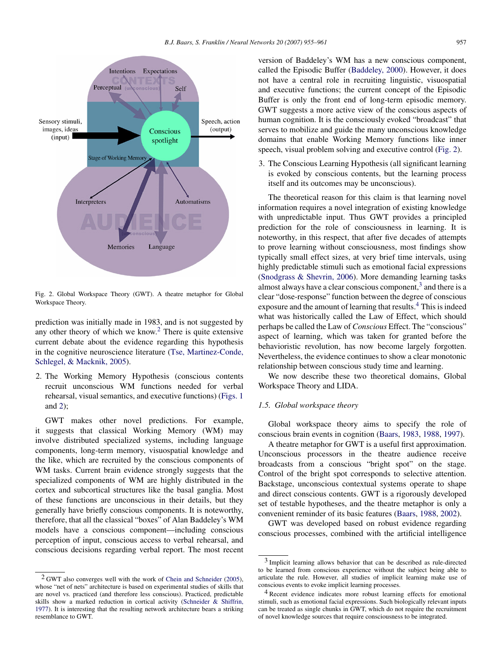<span id="page-2-1"></span>

Fig. 2. Global Workspace Theory (GWT). A theatre metaphor for Global Workspace Theory.

prediction was initially made in 1983, and is not suggested by any other theory of which we know.[2](#page-2-0) There is quite extensive current debate about the evidence regarding this hypothesis in the cognitive neuroscience literature [\(Tse,](#page-6-11) [Martinez-Conde,](#page-6-11) [Schlegel,](#page-6-11) [&](#page-6-11) [Macknik,](#page-6-11) [2005\)](#page-6-11).

2. The Working Memory Hypothesis (conscious contents recruit unconscious WM functions needed for verbal rehearsal, visual semantics, and executive functions) [\(Figs. 1](#page-1-1) and [2\)](#page-2-1);

GWT makes other novel predictions. For example, it suggests that classical Working Memory (WM) may involve distributed specialized systems, including language components, long-term memory, visuospatial knowledge and the like, which are recruited by the conscious components of WM tasks. Current brain evidence strongly suggests that the specialized components of WM are highly distributed in the cortex and subcortical structures like the basal ganglia. Most of these functions are unconscious in their details, but they generally have briefly conscious components. It is noteworthy, therefore, that all the classical "boxes" of Alan Baddeley's WM models have a conscious component—including conscious perception of input, conscious access to verbal rehearsal, and conscious decisions regarding verbal report. The most recent version of Baddeley's WM has a new conscious component, called the Episodic Buffer [\(Baddeley,](#page-6-14) [2000\)](#page-6-14). However, it does not have a central role in recruiting linguistic, visuospatial and executive functions; the current concept of the Episodic Buffer is only the front end of long-term episodic memory. GWT suggests a more active view of the conscious aspects of human cognition. It is the consciously evoked "broadcast" that serves to mobilize and guide the many unconscious knowledge domains that enable Working Memory functions like inner speech, visual problem solving and executive control [\(Fig. 2\)](#page-2-1).

3. The Conscious Learning Hypothesis (all significant learning is evoked by conscious contents, but the learning process itself and its outcomes may be unconscious).

The theoretical reason for this claim is that learning novel information requires a novel integration of existing knowledge with unpredictable input. Thus GWT provides a principled prediction for the role of consciousness in learning. It is noteworthy, in this respect, that after five decades of attempts to prove learning without consciousness, most findings show typically small effect sizes, at very brief time intervals, using highly predictable stimuli such as emotional facial expressions [\(Snodgrass](#page-6-15) [&](#page-6-15) [Shevrin,](#page-6-15) [2006\)](#page-6-15). More demanding learning tasks almost always have a clear conscious component,<sup>[3](#page-2-2)</sup> and there is a clear "dose-response" function between the degree of conscious exposure and the amount of learning that results.<sup>[4](#page-2-3)</sup> This is indeed what was historically called the Law of Effect, which should perhaps be called the Law of *Conscious* Effect. The "conscious" aspect of learning, which was taken for granted before the behavioristic revolution, has now become largely forgotten. Nevertheless, the evidence continues to show a clear monotonic relationship between conscious study time and learning.

We now describe these two theoretical domains, Global Workspace Theory and LIDA.

#### *1.5. Global workspace theory*

Global workspace theory aims to specify the role of conscious brain events in cognition [\(Baars,](#page-5-2) [1983,](#page-5-2) [1988,](#page-5-2) [1997\)](#page-5-2).

A theatre metaphor for GWT is a useful first approximation. Unconscious processors in the theatre audience receive broadcasts from a conscious "bright spot" on the stage. Control of the bright spot corresponds to selective attention. Backstage, unconscious contextual systems operate to shape and direct conscious contents. GWT is a rigorously developed set of testable hypotheses, and the theatre metaphor is only a convenient reminder of its basic features [\(Baars,](#page-5-0) [1988,](#page-5-0) [2002\)](#page-5-0).

GWT was developed based on robust evidence regarding conscious processes, combined with the artificial intelligence

<span id="page-2-0"></span><sup>2</sup> GWT also converges well with the work of [Chein](#page-6-12) [and](#page-6-12) [Schneider](#page-6-12) [\(2005\)](#page-6-12), whose "net of nets" architecture is based on experimental studies of skills that are novel vs. practiced (and therefore less conscious). Practiced, predictable skills show a marked reduction in cortical activity [\(Schneider](#page-6-13) [&](#page-6-13) [Shiffrin,](#page-6-13) [1977\)](#page-6-13). It is interesting that the resulting network architecture bears a striking resemblance to GWT.

<span id="page-2-2"></span><sup>3</sup> Implicit learning allows behavior that can be described as rule-directed to be learned from conscious experience without the subject being able to articulate the rule. However, all studies of implicit learning make use of conscious events to evoke implicit learning processes.

<span id="page-2-3"></span><sup>&</sup>lt;sup>4</sup> Recent evidence indicates more robust learning effects for emotional stimuli, such as emotional facial expressions. Such biologically relevant inputs can be treated as single chunks in GWT, which do not require the recruitment of novel knowledge sources that require consciousness to be integrated.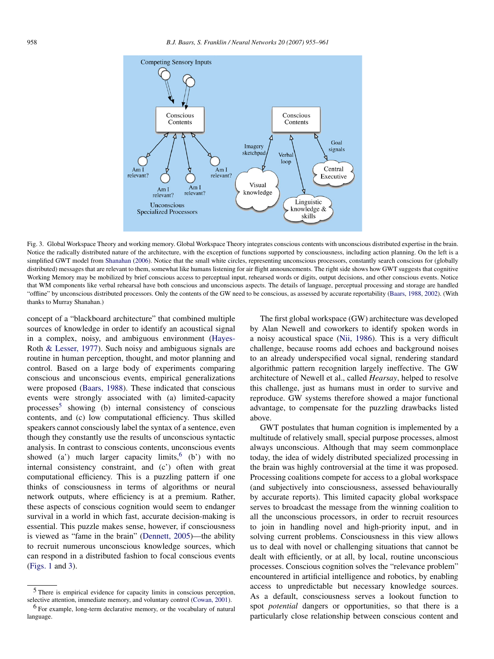<span id="page-3-2"></span>

Fig. 3. Global Workspace Theory and working memory. Global Workspace Theory integrates conscious contents with unconscious distributed expertise in the brain. Notice the radically distributed nature of the architecture, with the exception of functions supported by consciousness, including action planning. On the left is a simplified GWT model from [Shanahan](#page-6-16) [\(2006\)](#page-6-16). Notice that the small white circles, representing unconscious processors, constantly search conscious for (globally distributed) messages that are relevant to them, somewhat like humans listening for air flight announcements. The right side shows how GWT suggests that cognitive Working Memory may be mobilized by brief conscious access to perceptual input, rehearsed words or digits, output decisions, and other conscious events. Notice that WM components like verbal rehearsal have both conscious and unconscious aspects. The details of language, perceptual processing and storage are handled "offline" by unconscious distributed processors. Only the contents of the GW need to be conscious, as assessed by accurate reportability [\(Baars,](#page-5-0) [1988,](#page-5-0) [2002\)](#page-5-0). (With thanks to Murray Shanahan.)

concept of a "blackboard architecture" that combined multiple sources of knowledge in order to identify an acoustical signal [i](#page-6-17)n a complex, noisy, and ambiguous environment [\(Hayes-](#page-6-17)[Roth](#page-6-17) [&](#page-6-17) [Lesser,](#page-6-17) [1977\)](#page-6-17). Such noisy and ambiguous signals are routine in human perception, thought, and motor planning and control. Based on a large body of experiments comparing conscious and unconscious events, empirical generalizations were proposed [\(Baars,](#page-5-0) [1988\)](#page-5-0). These indicated that conscious events were strongly associated with (a) limited-capacity processes<sup>[5](#page-3-0)</sup> showing (b) internal consistency of conscious contents, and (c) low computational efficiency. Thus skilled speakers cannot consciously label the syntax of a sentence, even though they constantly use the results of unconscious syntactic analysis. In contrast to conscious contents, unconscious events showed  $(a')$  much larger capacity limits,  $($ b') with no internal consistency constraint, and (c') often with great computational efficiency. This is a puzzling pattern if one thinks of consciousness in terms of algorithms or neural network outputs, where efficiency is at a premium. Rather, these aspects of conscious cognition would seem to endanger survival in a world in which fast, accurate decision-making is essential. This puzzle makes sense, however, if consciousness is viewed as "fame in the brain" [\(Dennett,](#page-6-18) [2005\)](#page-6-18)—the ability to recruit numerous unconscious knowledge sources, which can respond in a distributed fashion to focal conscious events [\(Figs. 1](#page-1-1) and [3\)](#page-3-2).

The first global workspace (GW) architecture was developed by Alan Newell and coworkers to identify spoken words in a noisy acoustical space [\(Nii,](#page-6-20) [1986\)](#page-6-20). This is a very difficult challenge, because rooms add echoes and background noises to an already underspecified vocal signal, rendering standard algorithmic pattern recognition largely ineffective. The GW architecture of Newell et al., called *Hearsay*, helped to resolve this challenge, just as humans must in order to survive and reproduce. GW systems therefore showed a major functional advantage, to compensate for the puzzling drawbacks listed above.

GWT postulates that human cognition is implemented by a multitude of relatively small, special purpose processes, almost always unconscious. Although that may seem commonplace today, the idea of widely distributed specialized processing in the brain was highly controversial at the time it was proposed. Processing coalitions compete for access to a global workspace (and subjectively into consciousness, assessed behaviourally by accurate reports). This limited capacity global workspace serves to broadcast the message from the winning coalition to all the unconscious processors, in order to recruit resources to join in handling novel and high-priority input, and in solving current problems. Consciousness in this view allows us to deal with novel or challenging situations that cannot be dealt with efficiently, or at all, by local, routine unconscious processes. Conscious cognition solves the "relevance problem" encountered in artificial intelligence and robotics, by enabling access to unpredictable but necessary knowledge sources. As a default, consciousness serves a lookout function to spot *potential* dangers or opportunities, so that there is a particularly close relationship between conscious content and

<span id="page-3-0"></span><sup>5</sup> There is empirical evidence for capacity limits in conscious perception, selective attention, immediate memory, and voluntary control [\(Cowan,](#page-6-19) [2001\)](#page-6-19).

<span id="page-3-1"></span><sup>6</sup> For example, long-term declarative memory, or the vocabulary of natural language.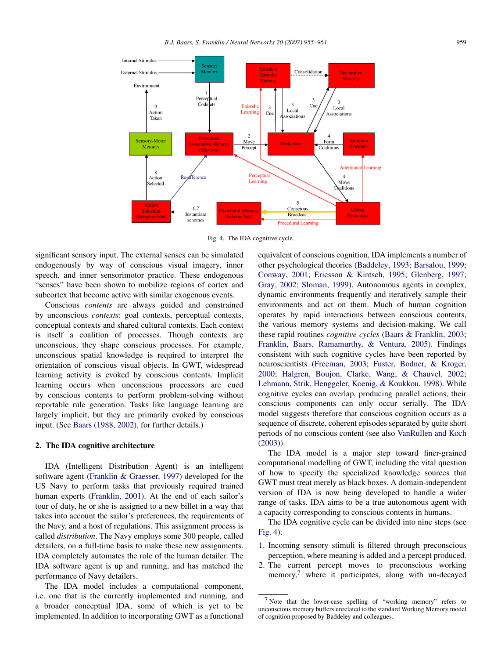<span id="page-4-0"></span>

Fig. 4. The IDA cognitive cycle.

significant sensory input. The external senses can be simulated endogenously by way of conscious visual imagery, inner speech, and inner sensorimotor practice. These endogenous "senses" have been shown to mobilize regions of cortex and subcortex that become active with similar exogenous events.

Conscious *contents* are always guided and constrained by unconscious *contexts*: goal contexts, perceptual contexts, conceptual contexts and shared cultural contexts. Each context is itself a coalition of processes. Though contexts are unconscious, they shape conscious processes. For example, unconscious spatial knowledge is required to interpret the orientation of conscious visual objects. In GWT, widespread learning activity is evoked by conscious contents. Implicit learning occurs when unconscious processors are cued by conscious contents to perform problem-solving without reportable rule generation. Tasks like language learning are largely implicit, but they are primarily evoked by conscious input. (See [Baars](#page-5-0) [\(1988,](#page-5-0) [2002\),](#page-5-1) for further details.)

#### 2. The IDA cognitive architecture

IDA (Intelligent Distribution Agent) is an intelligent software agent [\(Franklin](#page-6-1) [&](#page-6-1) [Graesser,](#page-6-1) [1997\)](#page-6-1) developed for the US Navy to perform tasks that previously required trained human experts [\(Franklin,](#page-6-21) [2001\)](#page-6-21). At the end of each sailor's tour of duty, he or she is assigned to a new billet in a way that takes into account the sailor's preferences, the requirements of the Navy, and a host of regulations. This assignment process is called *distribution*. The Navy employs some 300 people, called detailers, on a full-time basis to make these new assignments. IDA completely automates the role of the human detailer. The IDA software agent is up and running, and has matched the performance of Navy detailers.

The IDA model includes a computational component, i.e. one that is the currently implemented and running, and a broader conceptual IDA, some of which is yet to be implemented. In addition to incorporating GWT as a functional equivalent of conscious cognition, IDA implements a number of other psychological theories [\(Baddeley,](#page-6-22) [1993;](#page-6-22) [Barsalou,](#page-6-23) [1999;](#page-6-23) [Conway,](#page-6-24) [2001;](#page-6-24) [Ericsson](#page-6-25) [&](#page-6-25) [Kintsch,](#page-6-25) [1995;](#page-6-25) [Glenberg,](#page-6-26) [1997;](#page-6-26) [Gray,](#page-6-27) [2002;](#page-6-27) [Sloman,](#page-6-28) [1999\)](#page-6-28). Autonomous agents in complex, dynamic environments frequently and iteratively sample their environments and act on them. Much of human cognition operates by rapid interactions between conscious contents, the various memory systems and decision-making. We call these rapid routines *cognitive cycles* [\(Baars](#page-5-3) [&](#page-5-3) [Franklin,](#page-5-3) [2003;](#page-5-3) [Franklin,](#page-6-29) [Baars,](#page-6-29) [Ramamurthy,](#page-6-29) [&](#page-6-29) [Ventura,](#page-6-29) [2005\)](#page-6-29). Findings consistent with such cognitive cycles have been reported by neuroscientists [\(Freeman,](#page-6-30) [2003;](#page-6-30) [Fuster,](#page-6-31) [Bodner,](#page-6-31) [&](#page-6-31) [Kroger,](#page-6-31) [2000;](#page-6-31) [Halgren,](#page-6-32) [Boujon,](#page-6-32) [Clarke,](#page-6-32) [Wang,](#page-6-32) [&](#page-6-32) [Chauvel,](#page-6-32) [2002;](#page-6-32) [Lehmann,](#page-6-33) [Strik,](#page-6-33) [Henggeler,](#page-6-33) [Koenig,](#page-6-33) [&](#page-6-33) [Koukkou,](#page-6-33) [1998\)](#page-6-33). While cognitive cycles can overlap, producing parallel actions, their conscious components can only occur serially. The IDA model suggests therefore that conscious cognition occurs as a sequence of discrete, coherent episodes separated by quite short periods of no conscious content (see also [VanRullen](#page-6-34) [and](#page-6-34) [Koch](#page-6-34) [\(2003\)](#page-6-34)).

The IDA model is a major step toward finer-grained computational modelling of GWT, including the vital question of how to specify the specialized knowledge sources that GWT must treat merely as black boxes. A domain-independent version of IDA is now being developed to handle a wider range of tasks. IDA aims to be a true autonomous agent with a capacity corresponding to conscious contents in humans.

The IDA cognitive cycle can be divided into nine steps (see [Fig. 4\)](#page-4-0).

- 1. Incoming sensory stimuli is filtered through preconscious perception, where meaning is added and a percept produced.
- 2. The current percept moves to preconscious working memory, $\frac{7}{7}$  $\frac{7}{7}$  $\frac{7}{7}$  where it participates, along with un-decayed

<span id="page-4-1"></span><sup>7</sup> Note that the lower-case spelling of "working memory" refers to unconscious memory buffers unrelated to the standard Working Memory model of cognition proposed by Baddeley and colleagues.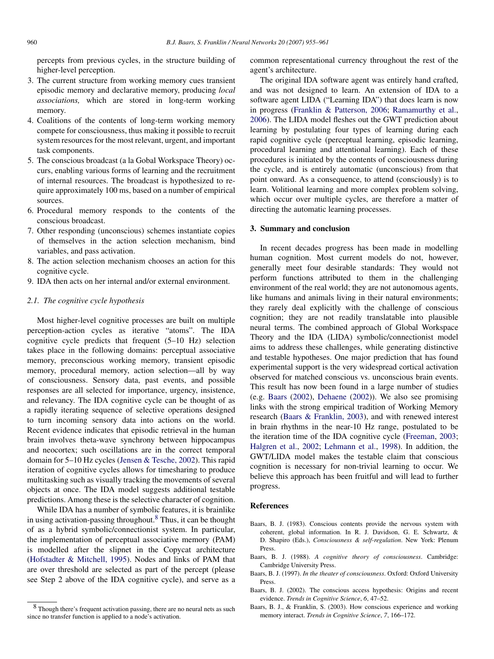percepts from previous cycles, in the structure building of higher-level perception.

- 3. The current structure from working memory cues transient episodic memory and declarative memory, producing *local associations,* which are stored in long-term working memory.
- 4. Coalitions of the contents of long-term working memory compete for consciousness, thus making it possible to recruit system resources for the most relevant, urgent, and important task components.
- 5. The conscious broadcast (a la Gobal Workspace Theory) occurs, enabling various forms of learning and the recruitment of internal resources. The broadcast is hypothesized to require approximately 100 ms, based on a number of empirical sources.
- 6. Procedural memory responds to the contents of the conscious broadcast.
- 7. Other responding (unconscious) schemes instantiate copies of themselves in the action selection mechanism, bind variables, and pass activation.
- 8. The action selection mechanism chooses an action for this cognitive cycle.
- 9. IDA then acts on her internal and/or external environment.

#### *2.1. The cognitive cycle hypothesis*

Most higher-level cognitive processes are built on multiple perception-action cycles as iterative "atoms". The IDA cognitive cycle predicts that frequent (5–10 Hz) selection takes place in the following domains: perceptual associative memory, preconscious working memory, transient episodic memory, procedural memory, action selection—all by way of consciousness. Sensory data, past events, and possible responses are all selected for importance, urgency, insistence, and relevancy. The IDA cognitive cycle can be thought of as a rapidly iterating sequence of selective operations designed to turn incoming sensory data into actions on the world. Recent evidence indicates that episodic retrieval in the human brain involves theta-wave synchrony between hippocampus and neocortex; such oscillations are in the correct temporal domain for 5–10 Hz cycles [\(Jensen](#page-6-35) [&](#page-6-35) [Tesche,](#page-6-35) [2002\)](#page-6-35). This rapid iteration of cognitive cycles allows for timesharing to produce multitasking such as visually tracking the movements of several objects at once. The IDA model suggests additional testable predictions. Among these is the selective character of cognition.

While IDA has a number of symbolic features, it is brainlike in using activation-passing throughout. $8$  Thus, it can be thought of as a hybrid symbolic/connectionist system. In particular, the implementation of perceptual associative memory (PAM) is modelled after the slipnet in the Copycat architecture [\(Hofstadter](#page-6-36) [&](#page-6-36) [Mitchell,](#page-6-36) [1995\)](#page-6-36). Nodes and links of PAM that are over threshold are selected as part of the percept (please see Step 2 above of the IDA cognitive cycle), and serve as a common representational currency throughout the rest of the agent's architecture.

The original IDA software agent was entirely hand crafted, and was not designed to learn. An extension of IDA to a software agent LIDA ("Learning IDA") that does learn is now in progress [\(Franklin](#page-6-37) [&](#page-6-37) [Patterson,](#page-6-37) [2006;](#page-6-37) [Ramamurthy](#page-6-0) [et al.,](#page-6-0) [2006\)](#page-6-0). The LIDA model fleshes out the GWT prediction about learning by postulating four types of learning during each rapid cognitive cycle (perceptual learning, episodic learning, procedural learning and attentional learning). Each of these procedures is initiated by the contents of consciousness during the cycle, and is entirely automatic (unconscious) from that point onward. As a consequence, to attend (consciously) is to learn. Volitional learning and more complex problem solving, which occur over multiple cycles, are therefore a matter of directing the automatic learning processes.

#### 3. Summary and conclusion

In recent decades progress has been made in modelling human cognition. Most current models do not, however, generally meet four desirable standards: They would not perform functions attributed to them in the challenging environment of the real world; they are not autonomous agents, like humans and animals living in their natural environments; they rarely deal explicitly with the challenge of conscious cognition; they are not readily translatable into plausible neural terms. The combined approach of Global Workspace Theory and the IDA (LIDA) symbolic/connectionist model aims to address these challenges, while generating distinctive and testable hypotheses. One major prediction that has found experimental support is the very widespread cortical activation observed for matched conscious vs. unconscious brain events. This result has now been found in a large number of studies (e.g. [Baars](#page-5-1) [\(2002\)](#page-5-1), [Dehaene](#page-6-6) [\(2002\)](#page-6-6)). We also see promising links with the strong empirical tradition of Working Memory research [\(Baars](#page-5-3) [&](#page-5-3) [Franklin,](#page-5-3) [2003\)](#page-5-3), and with renewed interest in brain rhythms in the near-10 Hz range, postulated to be the iteration time of the IDA cognitive cycle [\(Freeman,](#page-6-30) [2003;](#page-6-30) [Halgren](#page-6-32) [et al.,](#page-6-32) [2002;](#page-6-32) [Lehmann](#page-6-33) [et al.,](#page-6-33) [1998\)](#page-6-33). In addition, the GWT/LIDA model makes the testable claim that conscious cognition is necessary for non-trivial learning to occur. We believe this approach has been fruitful and will lead to further progress.

#### References

- <span id="page-5-2"></span>Baars, B. J. (1983). Conscious contents provide the nervous system with coherent, global information. In R. J. Davidson, G. E. Schwartz, & D. Shapiro (Eds.), *Consciousness & self-regulation*. New York: Plenum Press.
- <span id="page-5-0"></span>Baars, B. J. (1988). *A cognitive theory of consciousness*. Cambridge: Cambridge University Press.
- Baars, B. J. (1997). *In the theater of consciousness*. Oxford: Oxford University Press.
- <span id="page-5-1"></span>Baars, B. J. (2002). The conscious access hypothesis: Origins and recent evidence. *Trends in Cognitive Science*, *6*, 47–52.
- <span id="page-5-3"></span>Baars, B. J., & Franklin, S. (2003). How conscious experience and working memory interact. *Trends in Cognitive Science*, *7*, 166–172.

<span id="page-5-4"></span><sup>8</sup> Though there's frequent activation passing, there are no neural nets as such since no transfer function is applied to a node's activation.